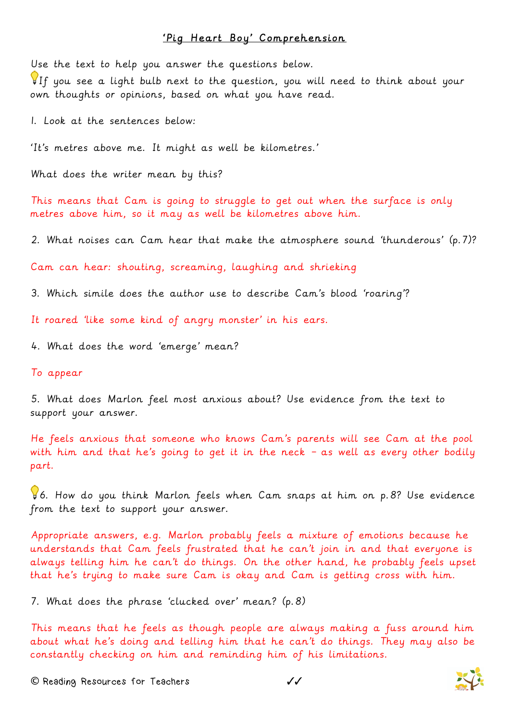## 'Pig Heart Boy' Comprehension

Use the text to help you answer the questions below.

If you see a light bulb next to the question, you will need to think about your own thoughts or opinions, based on what you have read.

1. Look at the sentences below:

'It's metres above me. It might as well be kilometres.'

What does the writer mean by this?

This means that Cam is going to struggle to get out when the surface is only metres above him, so it may as well be kilometres above him.

2. What noises can Cam hear that make the atmosphere sound 'thunderous' (p.7)?

Cam can hear: shouting, screaming, laughing and shrieking

3. Which simile does the author use to describe Cam's blood 'roaring'?

It roared 'like some kind of angry monster' in his ears.

4. What does the word 'emerge' mean?

## To appear

5. What does Marlon feel most anxious about? Use evidence from the text to support your answer.

He feels anxious that someone who knows Cam's parents will see Cam at the pool with him and that he's going to get it in the neck – as well as every other bodily part.

6. How do you think Marlon feels when Cam snaps at him on p.8? Use evidence from the text to support your answer.

Appropriate answers, e.g. Marlon probably feels a mixture of emotions because he understands that Cam feels frustrated that he can't join in and that everyone is always telling him he can't do things. On the other hand, he probably feels upset that he's trying to make sure Cam is okay and Cam is getting cross with him.

7. What does the phrase 'clucked over' mean? (p.8)

This means that he feels as though people are always making a fuss around him about what he's doing and telling him that he can't do things. They may also be constantly checking on him and reminding him of his limitations.

**©** Reading Resources for Teachers ✓✓